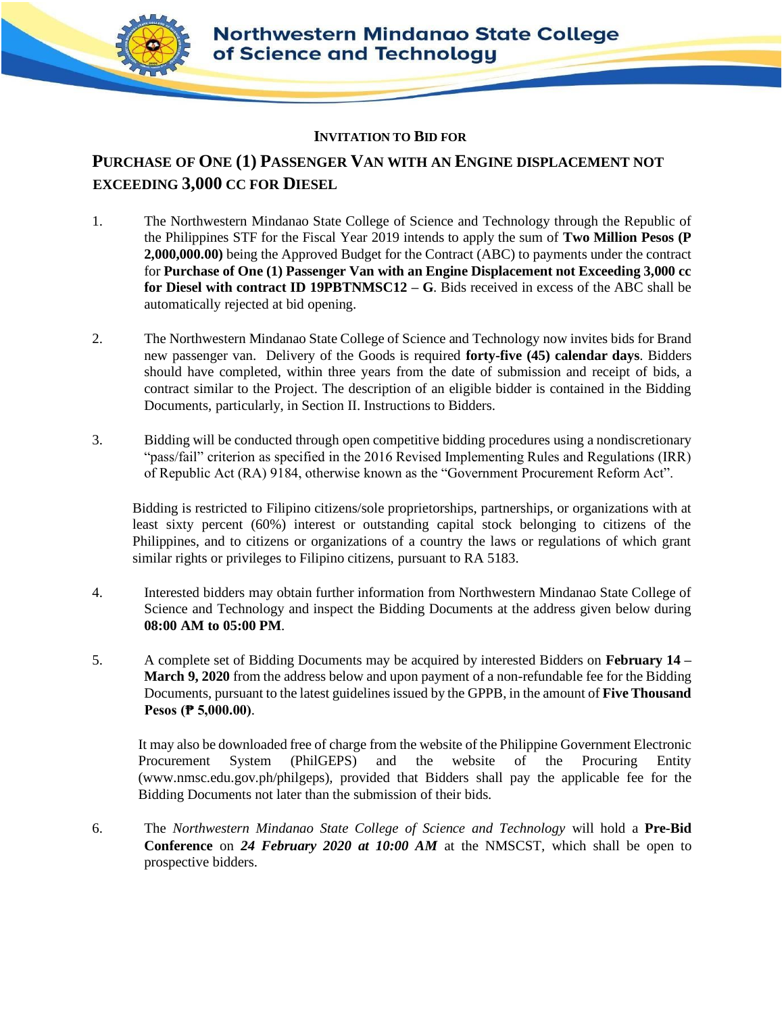

## **INVITATION TO BID FOR**

## **PURCHASE OF ONE (1) PASSENGER VAN WITH AN ENGINE DISPLACEMENT NOT EXCEEDING 3,000 CC FOR DIESEL**

- 1. The Northwestern Mindanao State College of Science and Technology through the Republic of the Philippines STF for the Fiscal Year 2019 intends to apply the sum of **Two Million Pesos (P 2,000,000.00)** being the Approved Budget for the Contract (ABC) to payments under the contract for **Purchase of One (1) Passenger Van with an Engine Displacement not Exceeding 3,000 cc for Diesel with contract ID 19PBTNMSC12 – G**. Bids received in excess of the ABC shall be automatically rejected at bid opening.
- 2. The Northwestern Mindanao State College of Science and Technology now invites bids for Brand new passenger van. Delivery of the Goods is required **forty-five (45) calendar days**. Bidders should have completed, within three years from the date of submission and receipt of bids, a contract similar to the Project. The description of an eligible bidder is contained in the Bidding Documents, particularly, in Section II. Instructions to Bidders.
- 3. Bidding will be conducted through open competitive bidding procedures using a nondiscretionary "pass/fail" criterion as specified in the 2016 Revised Implementing Rules and Regulations (IRR) of Republic Act (RA) 9184, otherwise known as the "Government Procurement Reform Act".

Bidding is restricted to Filipino citizens/sole proprietorships, partnerships, or organizations with at least sixty percent (60%) interest or outstanding capital stock belonging to citizens of the Philippines, and to citizens or organizations of a country the laws or regulations of which grant similar rights or privileges to Filipino citizens, pursuant to RA 5183.

- 4. Interested bidders may obtain further information from Northwestern Mindanao State College of Science and Technology and inspect the Bidding Documents at the address given below during **08:00 AM to 05:00 PM**.
- 5. A complete set of Bidding Documents may be acquired by interested Bidders on **February 14 – March 9, 2020** from the address below and upon payment of a non-refundable fee for the Bidding Documents, pursuant to the latest guidelines issued by the GPPB, in the amount of **Five Thousand Pesos (₱ 5,000.00)**.

It may also be downloaded free of charge from the website of the Philippine Government Electronic Procurement System (PhilGEPS) and the website of the Procuring Entity (www.nmsc.edu.gov.ph/philgeps)*,* provided that Bidders shall pay the applicable fee for the Bidding Documents not later than the submission of their bids.

6. The *Northwestern Mindanao State College of Science and Technology* will hold a **Pre-Bid Conference** on *24 February 2020 at 10:00 AM* at the NMSCST*,* which shall be open to prospective bidders.